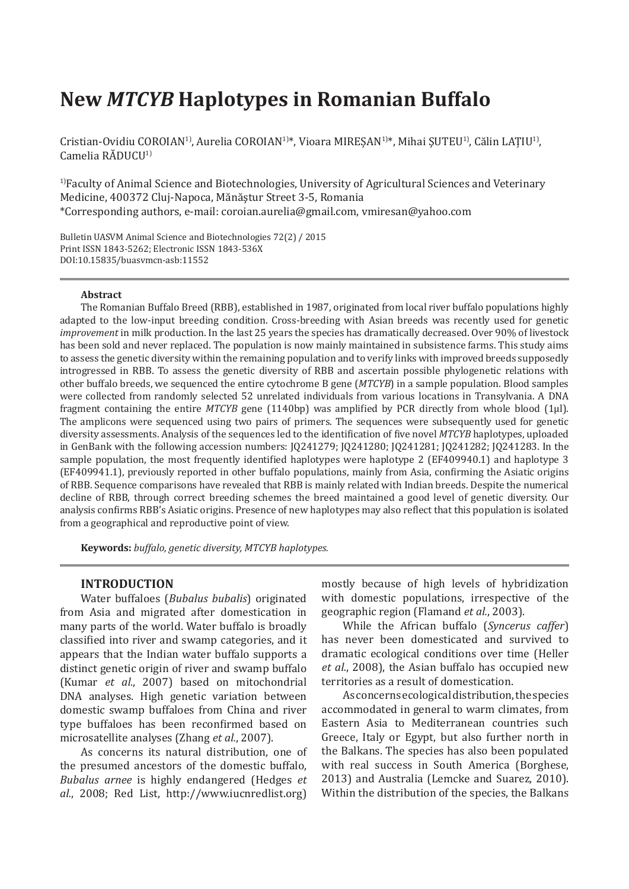# **New** *MTCYB* **Haplotypes in Romanian Buffalo**

Cristian-Ovidiu COROIAN1), Aurelia COROIAN1)\*, Vioara MIREȘAN1)\*, Mihai ŞUTEU1), Călin LAŢIU1), Camelia RĂDUCU<sup>1)</sup>

1)Faculty of Animal Science and Biotechnologies, University of Agricultural Sciences and Veterinary Medicine, 400372 Cluj-Napoca, Mănăştur Street 3-5, Romania \*Corresponding authors, e-mail: coroian.aurelia@gmail.com, vmiresan@yahoo.com

Bulletin UASVM Animal Science and Biotechnologies 72(2) / 2015 Print ISSN 1843-5262; Electronic ISSN 1843-536X DOI:10.15835/buasvmcn-asb:11552

#### **Abstract**

The Romanian Buffalo Breed (RBB), established in 1987, originated from local river buffalo populations highly adapted to the low-input breeding condition. Cross-breeding with Asian breeds was recently used for genetic *improvement* in milk production. In the last 25 years the species has dramatically decreased. Over 90% of livestock has been sold and never replaced. The population is now mainly maintained in subsistence farms. This study aims to assess the genetic diversity within the remaining population and to verify links with improved breeds supposedly introgressed in RBB. To assess the genetic diversity of RBB and ascertain possible phylogenetic relations with other buffalo breeds, we sequenced the entire cytochrome B gene (*MTCYB*) in a sample population. Blood samples were collected from randomly selected 52 unrelated individuals from various locations in Transylvania. A DNA fragment containing the entire *MTCYB* gene (1140bp) was amplified by PCR directly from whole blood (1μl). The amplicons were sequenced using two pairs of primers. The sequences were subsequently used for genetic diversity assessments. Analysis of the sequences led to the identification of five novel *MTCYB* haplotypes, uploaded in GenBank with the following accession numbers: JQ241279; JQ241280; JQ241281; JQ241282; JQ241283. In the sample population, the most frequently identified haplotypes were haplotype 2 (EF409940.1) and haplotype 3 (EF409941.1), previously reported in other buffalo populations, mainly from Asia, confirming the Asiatic origins of RBB. Sequence comparisons have revealed that RBB is mainly related with Indian breeds. Despite the numerical decline of RBB, through correct breeding schemes the breed maintained a good level of genetic diversity. Our analysis confirms RBB's Asiatic origins. Presence of new haplotypes may also reflect that this population is isolated from a geographical and reproductive point of view.

**Keywords:** *buffalo, genetic diversity, MTCYB haplotypes.*

## **INTRODUCTION**

Water buffaloes (*Bubalus bubalis*) originated from Asia and migrated after domestication in many parts of the world. Water buffalo is broadly classified into river and swamp categories, and it appears that the Indian water buffalo supports a distinct genetic origin of river and swamp buffalo (Kumar *et al.*, 2007) based on mitochondrial DNA analyses. High genetic variation between domestic swamp buffaloes from China and river type buffaloes has been reconfirmed based on microsatellite analyses (Zhang *et al.*, 2007).

As concerns its natural distribution, one of the presumed ancestors of the domestic buffalo, *Bubalus arnee* is highly endangered (Hedges *et al.*, 2008; Red List, http://www.iucnredlist.org) mostly because of high levels of hybridization with domestic populations, irrespective of the geographic region (Flamand *et al.*, 2003).

While the African buffalo (*Syncerus caffer*) has never been domesticated and survived to dramatic ecological conditions over time (Heller *et al.*, 2008), the Asian buffalo has occupied new territories as a result of domestication.

As concerns ecological distribution, the species accommodated in general to warm climates, from Eastern Asia to Mediterranean countries such Greece, Italy or Egypt, but also further north in the Balkans. The species has also been populated with real success in South America (Borghese, 2013) and Australia (Lemcke and Suarez, 2010). Within the distribution of the species, the Balkans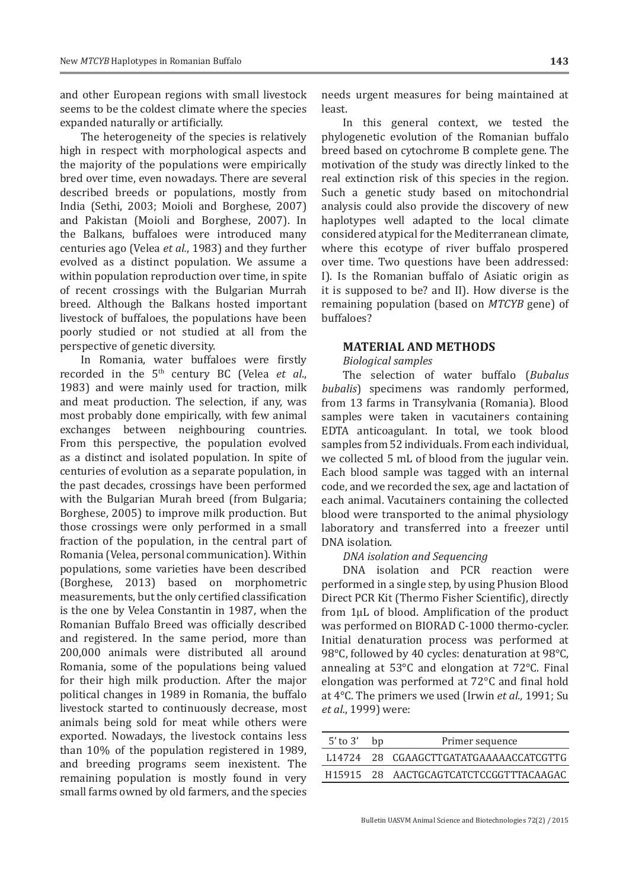and other European regions with small livestock seems to be the coldest climate where the species expanded naturally or artificially.

The heterogeneity of the species is relatively high in respect with morphological aspects and the majority of the populations were empirically bred over time, even nowadays. There are several described breeds or populations, mostly from India (Sethi, 2003; Moioli and Borghese, 2007) and Pakistan (Moioli and Borghese, 2007). In the Balkans, buffaloes were introduced many centuries ago (Velea *et al.*, 1983) and they further evolved as a distinct population. We assume a within population reproduction over time, in spite of recent crossings with the Bulgarian Murrah breed. Although the Balkans hosted important livestock of buffaloes, the populations have been poorly studied or not studied at all from the perspective of genetic diversity.

In Romania, water buffaloes were firstly recorded in the 5<sup>th</sup> century BC (Velea *et al.*, 1983) and were mainly used for traction, milk and meat production. The selection, if any, was most probably done empirically, with few animal exchanges between neighbouring countries. From this perspective, the population evolved as a distinct and isolated population. In spite of centuries of evolution as a separate population, in the past decades, crossings have been performed with the Bulgarian Murah breed (from Bulgaria; Borghese, 2005) to improve milk production. But those crossings were only performed in a small fraction of the population, in the central part of Romania (Velea, personal communication). Within populations, some varieties have been described (Borghese, 2013) based on morphometric measurements, but the only certified classification is the one by Velea Constantin in 1987, when the Romanian Buffalo Breed was officially described and registered. In the same period, more than 200,000 animals were distributed all around Romania, some of the populations being valued for their high milk production. After the major political changes in 1989 in Romania, the buffalo livestock started to continuously decrease, most animals being sold for meat while others were exported. Nowadays, the livestock contains less than 10% of the population registered in 1989, and breeding programs seem inexistent. The remaining population is mostly found in very small farms owned by old farmers, and the species

needs urgent measures for being maintained at least.

In this general context, we tested the phylogenetic evolution of the Romanian buffalo breed based on cytochrome B complete gene. The motivation of the study was directly linked to the real extinction risk of this species in the region. Such a genetic study based on mitochondrial analysis could also provide the discovery of new haplotypes well adapted to the local climate considered atypical for the Mediterranean climate, where this ecotype of river buffalo prospered over time. Two questions have been addressed: I). Is the Romanian buffalo of Asiatic origin as it is supposed to be? and II). How diverse is the remaining population (based on *MTCYB* gene) of buffaloes?

#### **MATERIAL AND METHODS**

#### *Biological samples*

The selection of water buffalo (*Bubalus bubalis*) specimens was randomly performed, from 13 farms in Transylvania (Romania). Blood samples were taken in vacutainers containing EDTA anticoagulant. In total, we took blood samples from 52 individuals. From each individual, we collected 5 mL of blood from the jugular vein. Each blood sample was tagged with an internal code, and we recorded the sex, age and lactation of each animal. Vacutainers containing the collected blood were transported to the animal physiology laboratory and transferred into a freezer until DNA isolation.

## *DNA isolation and Sequencing*

DNA isolation and PCR reaction were performed in a single step, by using Phusion Blood Direct PCR Kit (Thermo Fisher Scientific), directly from 1μL of blood. Amplification of the product was performed on BIORAD C-1000 thermo-cycler. Initial denaturation process was performed at 98°C, followed by 40 cycles: denaturation at 98°C, annealing at 53°C and elongation at 72°C. Final elongation was performed at 72°C and final hold at 4°C. The primers we used (Irwin *et al.,* 1991; Su *et al.*, 1999) were:

| $5'$ to $3'$ bp | Primer sequence                         |  |
|-----------------|-----------------------------------------|--|
|                 | L14724 28 CGAAGCTTGATATGAAAAAACCATCGTTG |  |
|                 | H15915 28 AACTGCAGTCATCTCCGGTTTACAAGAC  |  |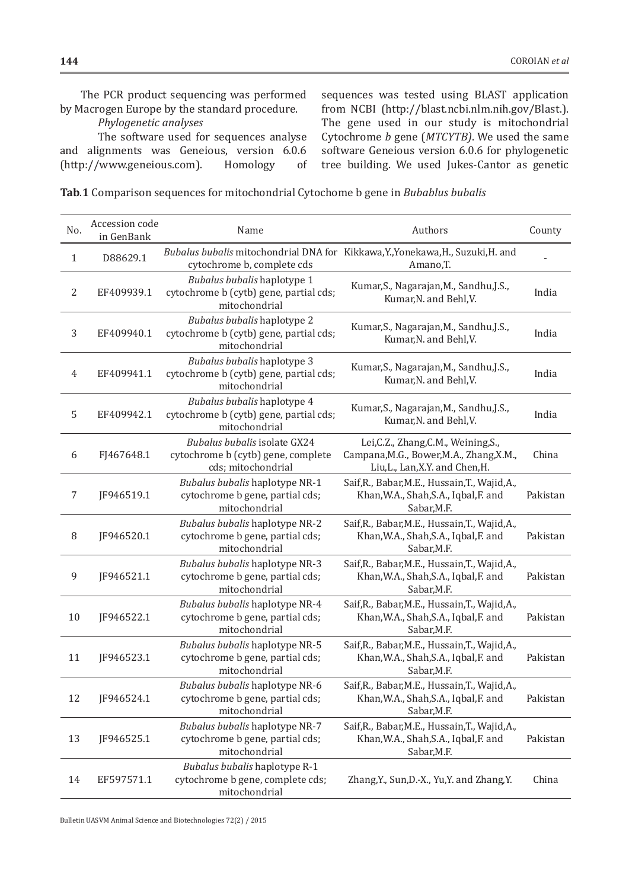The PCR product sequencing was performed by Macrogen Europe by the standard procedure.

## *Phylogenetic analyses*

The software used for sequences analyse and alignments was Geneious, version 6.0.6<br>(http://www.geneious.com). Homology of (http://www.geneious.com).

sequences was tested using BLAST application from NCBI (http://blast.ncbi.nlm.nih.gov/Blast.). The gene used in our study is mitochondrial Cytochrome *b* gene (*MTCYTB)*. We used the same software Geneious version 6.0.6 for phylogenetic tree building. We used Jukes-Cantor as genetic

**Tab**.**1** Comparison sequences for mitochondrial Cytochome b gene in *Bubablus bubalis*

| No.            | Accession code<br>in GenBank | Name                                                                                     | Authors                                                                                                             | County   |
|----------------|------------------------------|------------------------------------------------------------------------------------------|---------------------------------------------------------------------------------------------------------------------|----------|
| $\mathbf{1}$   | D88629.1                     | cytochrome b, complete cds                                                               | Bubalus bubalis mitochondrial DNA for Kikkawa, Y., Yonekawa, H., Suzuki, H. and<br>Amano, T.                        |          |
| $\sqrt{2}$     | EF409939.1                   | Bubalus bubalis haplotype 1<br>cytochrome b (cytb) gene, partial cds;<br>mitochondrial   | Kumar, S., Nagarajan, M., Sandhu, J.S.,<br>Kumar, N. and Behl, V.                                                   | India    |
| 3              | EF409940.1                   | Bubalus bubalis haplotype 2<br>cytochrome b (cytb) gene, partial cds;<br>mitochondrial   | Kumar, S., Nagarajan, M., Sandhu, J.S.,<br>Kumar, N. and Behl, V.                                                   | India    |
| $\overline{4}$ | EF409941.1                   | Bubalus bubalis haplotype 3<br>cytochrome b (cytb) gene, partial cds;<br>mitochondrial   | Kumar, S., Nagarajan, M., Sandhu, J.S.,<br>Kumar, N. and Behl, V.                                                   | India    |
| 5              | EF409942.1                   | Bubalus bubalis haplotype 4<br>cytochrome b (cytb) gene, partial cds;<br>mitochondrial   | Kumar, S., Nagarajan, M., Sandhu, J.S.,<br>Kumar, N. and Behl, V.                                                   | India    |
| 6              | FJ467648.1                   | Bubalus bubalis isolate GX24<br>cytochrome b (cytb) gene, complete<br>cds; mitochondrial | Lei, C.Z., Zhang, C.M., Weining, S.,<br>Campana, M.G., Bower, M.A., Zhang, X.M.,<br>Liu, L., Lan, X.Y. and Chen, H. | China    |
| $\overline{7}$ | JF946519.1                   | Bubalus bubalis haplotype NR-1<br>cytochrome b gene, partial cds;<br>mitochondrial       | Saif, R., Babar, M.E., Hussain, T., Wajid, A.,<br>Khan, W.A., Shah, S.A., Iqbal, F. and<br>Sabar, M.F.              | Pakistan |
| $\, 8$         | JF946520.1                   | Bubalus bubalis haplotype NR-2<br>cytochrome b gene, partial cds;<br>mitochondrial       | Saif, R., Babar, M.E., Hussain, T., Wajid, A.,<br>Khan, W.A., Shah, S.A., Iqbal, F. and<br>Sabar, M.F.              | Pakistan |
| 9              | JF946521.1                   | Bubalus bubalis haplotype NR-3<br>cytochrome b gene, partial cds;<br>mitochondrial       | Saif, R., Babar, M.E., Hussain, T., Wajid, A.,<br>Khan, W.A., Shah, S.A., Iqbal, F. and<br>Sabar, M.F.              | Pakistan |
| $10\,$         | JF946522.1                   | Bubalus bubalis haplotype NR-4<br>cytochrome b gene, partial cds;<br>mitochondrial       | Saif, R., Babar, M.E., Hussain, T., Wajid, A.,<br>Khan, W.A., Shah, S.A., Iqbal, F. and<br>Sabar, M.F.              | Pakistan |
| 11             | JF946523.1                   | Bubalus bubalis haplotype NR-5<br>cytochrome b gene, partial cds;<br>mitochondrial       | Saif, R., Babar, M.E., Hussain, T., Wajid, A.,<br>Khan, W.A., Shah, S.A., Iqbal, F. and<br>Sabar, M.F.              | Pakistan |
| 12             | JF946524.1                   | Bubalus bubalis haplotype NR-6<br>cytochrome b gene, partial cds;<br>mitochondrial       | Saif, R., Babar, M.E., Hussain, T., Wajid, A.,<br>Khan, W.A., Shah, S.A., Iqbal, F. and<br>Sabar, M.F.              | Pakistan |
| 13             | JF946525.1                   | Bubalus bubalis haplotype NR-7<br>cytochrome b gene, partial cds;<br>mitochondrial       | Saif, R., Babar, M.E., Hussain, T., Wajid, A.,<br>Khan, W.A., Shah, S.A., Iqbal, F. and<br>Sabar, M.F.              | Pakistan |
| 14             | EF597571.1                   | Bubalus bubalis haplotype R-1<br>cytochrome b gene, complete cds;<br>mitochondrial       | Zhang, Y., Sun, D.-X., Yu, Y. and Zhang, Y.                                                                         | China    |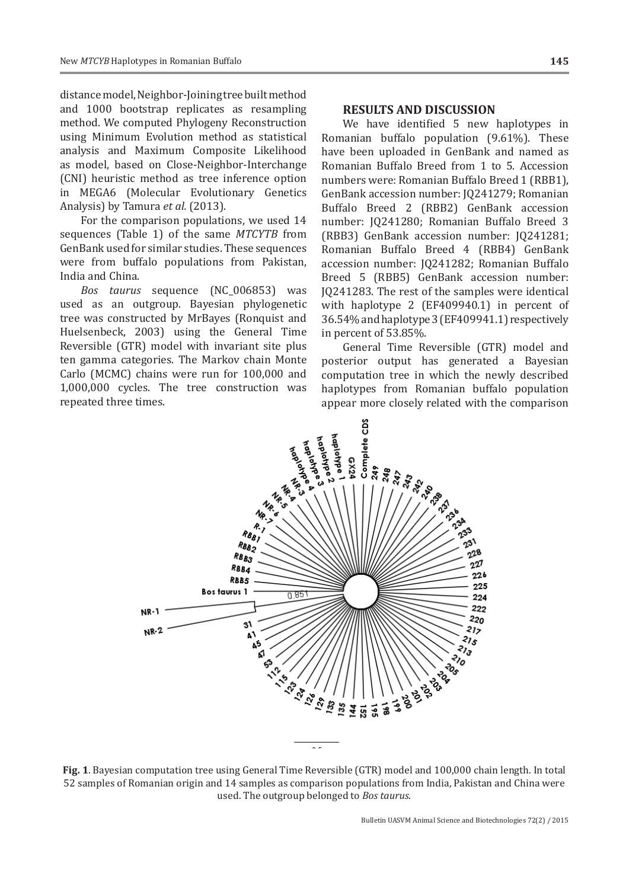distance model, Neighbor-Joining tree built method and 1000 bootstrap replicates as resampling method. We computed Phylogeny Reconstruction using Minimum Evolution method as statistical analysis and Maximum Composite Likelihood as model, based on Close-Neighbor-Interchange (CNI) heuristic method as tree inference option in MEGA6 (Molecular Evolutionary Genetics Analysis) by Tamura *et al.* (2013).

For the comparison populations, we used 14 sequences (Table 1) of the same *MTCYTB* from GenBank used for similar studies. These sequences were from buffalo populations from Pakistan, India and China.

*Bos taurus* sequence (NC\_006853) was used as an outgroup. Bayesian phylogenetic tree was constructed by MrBayes (Ronquist and Huelsenbeck, 2003) using the General Time Reversible (GTR) model with invariant site plus ten gamma categories. The Markov chain Monte Carlo (MCMC) chains were run for 100,000 and 1,000,000 cycles. The tree construction was repeated three times.

## **RESULTS AND DISCUSSION**

We have identified 5 new haplotypes in Romanian buffalo population (9.61%). These have been uploaded in GenBank and named as Romanian Buffalo Breed from 1 to 5. Accession numbers were: Romanian Buffalo Breed 1 (RBB1), GenBank accession number: JQ241279; Romanian Buffalo Breed 2 (RBB2) GenBank accession number: JQ241280; Romanian Buffalo Breed 3 (RBB3) GenBank accession number: JQ241281; Romanian Buffalo Breed 4 (RBB4) GenBank accession number: JQ241282; Romanian Buffalo Breed 5 (RBB5) GenBank accession number: JQ241283. The rest of the samples were identical with haplotype 2 (EF409940.1) in percent of 36.54% and haplotype 3 (EF409941.1) respectively in percent of 53.85%.

General Time Reversible (GTR) model and posterior output has generated a Bayesian computation tree in which the newly described haplotypes from Romanian buffalo population appear more closely related with the comparison



**Fig. 1**. Bayesian computation tree using General Time Reversible (GTR) model and 100,000 chain length. In total 52 samples of Romanian origin and 14 samples as comparison populations from India, Pakistan and China were used. The outgroup belonged to *Bos taurus*.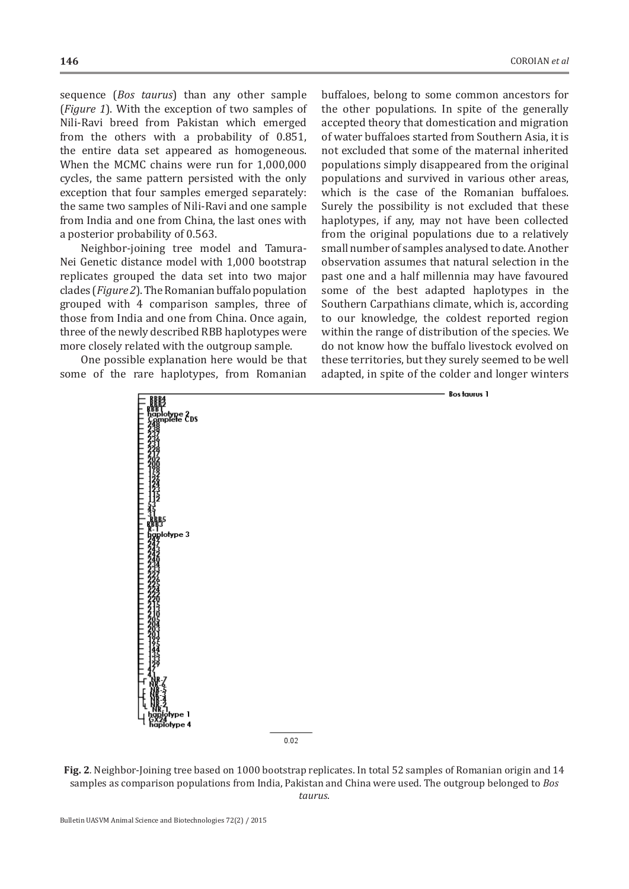sequence (*Bos taurus*) than any other sample (*Figure 1*). With the exception of two samples of Nili-Ravi breed from Pakistan which emerged from the others with a probability of 0.851, the entire data set appeared as homogeneous. When the MCMC chains were run for 1,000,000 cycles, the same pattern persisted with the only exception that four samples emerged separately: the same two samples of Nili-Ravi and one sample from India and one from China, the last ones with a posterior probability of 0.563.

Neighbor-joining tree model and Tamura-Nei Genetic distance model with 1,000 bootstrap replicates grouped the data set into two major clades (*Figure 2*). The Romanian buffalo population grouped with 4 comparison samples, three of those from India and one from China. Once again, three of the newly described RBB haplotypes were more closely related with the outgroup sample.

One possible explanation here would be that some of the rare haplotypes, from Romanian buffaloes, belong to some common ancestors for the other populations. In spite of the generally accepted theory that domestication and migration of water buffaloes started from Southern Asia, it is not excluded that some of the maternal inherited populations simply disappeared from the original populations and survived in various other areas, which is the case of the Romanian buffaloes. Surely the possibility is not excluded that these haplotypes, if any, may not have been collected from the original populations due to a relatively small number of samples analysed to date. Another observation assumes that natural selection in the past one and a half millennia may have favoured some of the best adapted haplotypes in the Southern Carpathians climate, which is, according to our knowledge, the coldest reported region within the range of distribution of the species. We do not know how the buffalo livestock evolved on these territories, but they surely seemed to be well adapted, in spite of the colder and longer winters



**Fig. 2***.* Neighbor-Joining tree based on 1000 bootstrap replicates. In total 52 samples of Romanian origin and 14 samples as comparison populations from India, Pakistan and China were used. The outgroup belonged to *Bos taurus*.